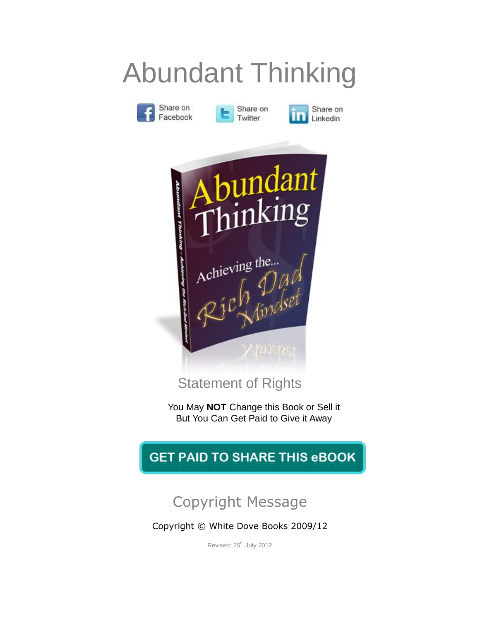# Abundant Thinking





Share on Linkedin



Statement of Rights

You May **NOT** Change this Book or Sell it But You Can Get Paid to Give it Away

## **GET PAID TO SHARE THIS eBOOK**

## Copyright Message

Copyright © White Dove Books 2009/12

Revised: 25<sup>th</sup> July 2012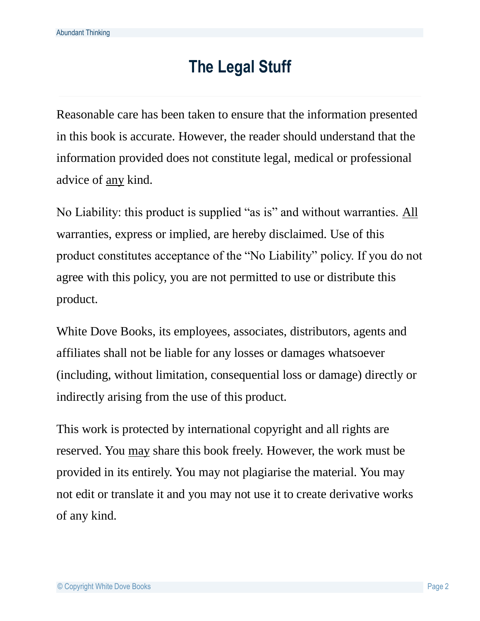# **The Legal Stuff**

Reasonable care has been taken to ensure that the information presented in this book is accurate. However, the reader should understand that the information provided does not constitute legal, medical or professional advice of any kind.

No Liability: this product is supplied "as is" and without warranties. All warranties, express or implied, are hereby disclaimed. Use of this product constitutes acceptance of the "No Liability" policy. If you do not agree with this policy, you are not permitted to use or distribute this product.

White Dove Books, its employees, associates, distributors, agents and affiliates shall not be liable for any losses or damages whatsoever (including, without limitation, consequential loss or damage) directly or indirectly arising from the use of this product.

This work is protected by international copyright and all rights are reserved. You may share this book freely. However, the work must be provided in its entirely. You may not plagiarise the material. You may not edit or translate it and you may not use it to create derivative works of any kind.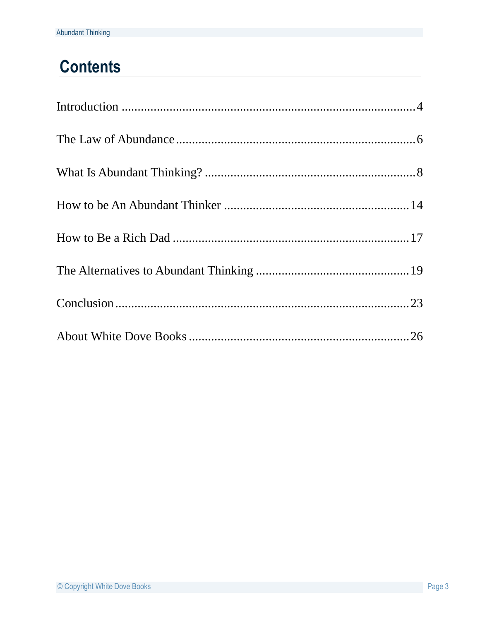# **Contents**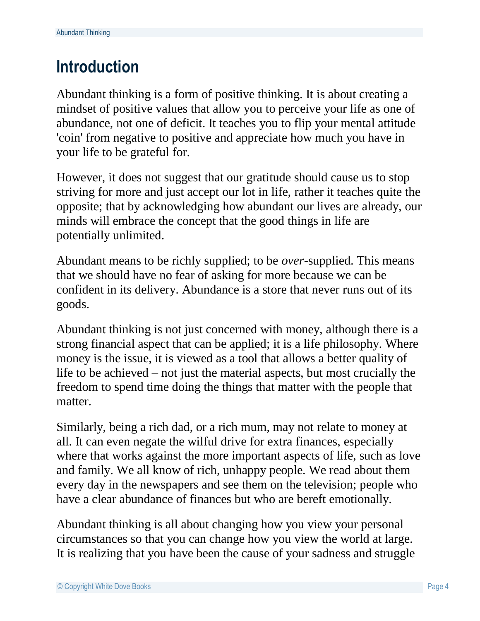## <span id="page-3-0"></span>**Introduction**

Abundant thinking is a form of positive thinking. It is about creating a mindset of positive values that allow you to perceive your life as one of abundance, not one of deficit. It teaches you to flip your mental attitude 'coin' from negative to positive and appreciate how much you have in your life to be grateful for.

However, it does not suggest that our gratitude should cause us to stop striving for more and just accept our lot in life, rather it teaches quite the opposite; that by acknowledging how abundant our lives are already, our minds will embrace the concept that the good things in life are potentially unlimited.

Abundant means to be richly supplied; to be *over*-supplied. This means that we should have no fear of asking for more because we can be confident in its delivery. Abundance is a store that never runs out of its goods.

Abundant thinking is not just concerned with money, although there is a strong financial aspect that can be applied; it is a life philosophy. Where money is the issue, it is viewed as a tool that allows a better quality of life to be achieved – not just the material aspects, but most crucially the freedom to spend time doing the things that matter with the people that matter.

Similarly, being a rich dad, or a rich mum, may not relate to money at all. It can even negate the wilful drive for extra finances, especially where that works against the more important aspects of life, such as love and family. We all know of rich, unhappy people. We read about them every day in the newspapers and see them on the television; people who have a clear abundance of finances but who are bereft emotionally.

Abundant thinking is all about changing how you view your personal circumstances so that you can change how you view the world at large. It is realizing that you have been the cause of your sadness and struggle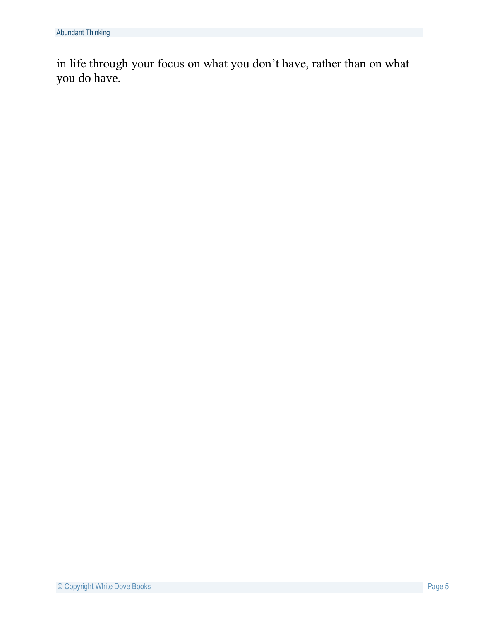<span id="page-4-0"></span>in life through your focus on what you don't have, rather than on what you do have.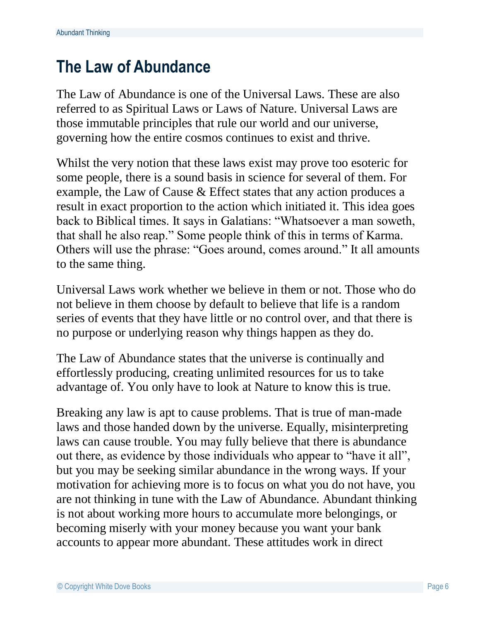## **The Law of Abundance**

The Law of Abundance is one of the Universal Laws. These are also referred to as Spiritual Laws or Laws of Nature. Universal Laws are those immutable principles that rule our world and our universe, governing how the entire cosmos continues to exist and thrive.

Whilst the very notion that these laws exist may prove too esoteric for some people, there is a sound basis in science for several of them. For example, the Law of Cause & Effect states that any action produces a result in exact proportion to the action which initiated it. This idea goes back to Biblical times. It says in Galatians: "Whatsoever a man soweth, that shall he also reap." Some people think of this in terms of Karma. Others will use the phrase: "Goes around, comes around." It all amounts to the same thing.

Universal Laws work whether we believe in them or not. Those who do not believe in them choose by default to believe that life is a random series of events that they have little or no control over, and that there is no purpose or underlying reason why things happen as they do.

The Law of Abundance states that the universe is continually and effortlessly producing, creating unlimited resources for us to take advantage of. You only have to look at Nature to know this is true.

Breaking any law is apt to cause problems. That is true of man-made laws and those handed down by the universe. Equally, misinterpreting laws can cause trouble. You may fully believe that there is abundance out there, as evidence by those individuals who appear to "have it all", but you may be seeking similar abundance in the wrong ways. If your motivation for achieving more is to focus on what you do not have, you are not thinking in tune with the Law of Abundance. Abundant thinking is not about working more hours to accumulate more belongings, or becoming miserly with your money because you want your bank accounts to appear more abundant. These attitudes work in direct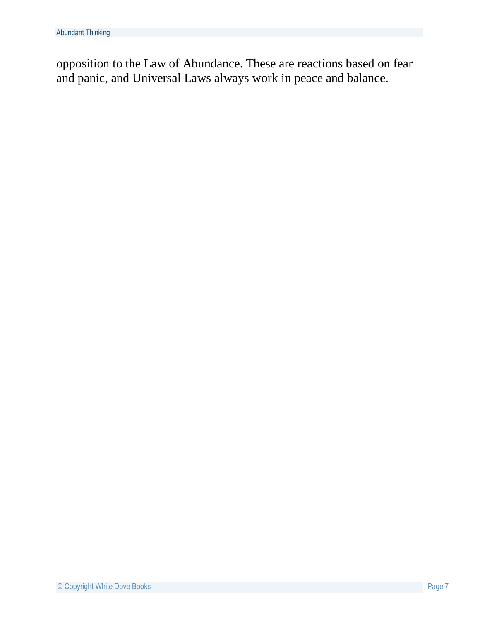<span id="page-6-0"></span>opposition to the Law of Abundance. These are reactions based on fear and panic, and Universal Laws always work in peace and balance.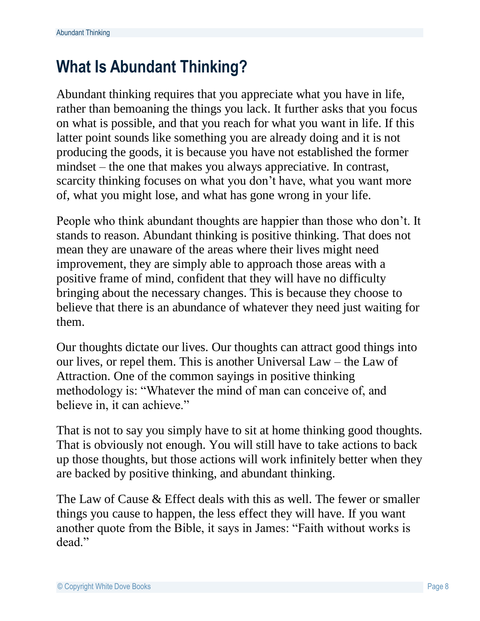## **What Is Abundant Thinking?**

Abundant thinking requires that you appreciate what you have in life, rather than bemoaning the things you lack. It further asks that you focus on what is possible, and that you reach for what you want in life. If this latter point sounds like something you are already doing and it is not producing the goods, it is because you have not established the former mindset – the one that makes you always appreciative. In contrast, scarcity thinking focuses on what you don't have, what you want more of, what you might lose, and what has gone wrong in your life.

People who think abundant thoughts are happier than those who don't. It stands to reason. Abundant thinking is positive thinking. That does not mean they are unaware of the areas where their lives might need improvement, they are simply able to approach those areas with a positive frame of mind, confident that they will have no difficulty bringing about the necessary changes. This is because they choose to believe that there is an abundance of whatever they need just waiting for them.

Our thoughts dictate our lives. Our thoughts can attract good things into our lives, or repel them. This is another Universal Law – the Law of Attraction. One of the common sayings in positive thinking methodology is: "Whatever the mind of man can conceive of, and believe in, it can achieve."

That is not to say you simply have to sit at home thinking good thoughts. That is obviously not enough. You will still have to take actions to back up those thoughts, but those actions will work infinitely better when they are backed by positive thinking, and abundant thinking.

The Law of Cause & Effect deals with this as well. The fewer or smaller things you cause to happen, the less effect they will have. If you want another quote from the Bible, it says in James: "Faith without works is dead."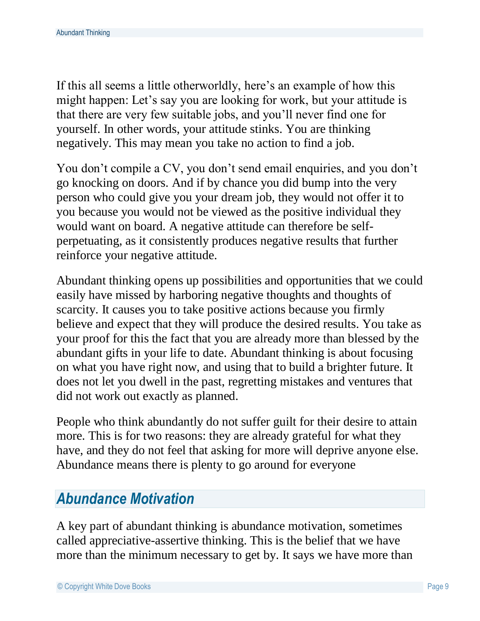If this all seems a little otherworldly, here's an example of how this might happen: Let's say you are looking for work, but your attitude is that there are very few suitable jobs, and you'll never find one for yourself. In other words, your attitude stinks. You are thinking negatively. This may mean you take no action to find a job.

You don't compile a CV, you don't send email enquiries, and you don't go knocking on doors. And if by chance you did bump into the very person who could give you your dream job, they would not offer it to you because you would not be viewed as the positive individual they would want on board. A negative attitude can therefore be selfperpetuating, as it consistently produces negative results that further reinforce your negative attitude.

Abundant thinking opens up possibilities and opportunities that we could easily have missed by harboring negative thoughts and thoughts of scarcity. It causes you to take positive actions because you firmly believe and expect that they will produce the desired results. You take as your proof for this the fact that you are already more than blessed by the abundant gifts in your life to date. Abundant thinking is about focusing on what you have right now, and using that to build a brighter future. It does not let you dwell in the past, regretting mistakes and ventures that did not work out exactly as planned.

People who think abundantly do not suffer guilt for their desire to attain more. This is for two reasons: they are already grateful for what they have, and they do not feel that asking for more will deprive anyone else. Abundance means there is plenty to go around for everyone

#### *Abundance Motivation*

A key part of abundant thinking is abundance motivation, sometimes called appreciative-assertive thinking. This is the belief that we have more than the minimum necessary to get by. It says we have more than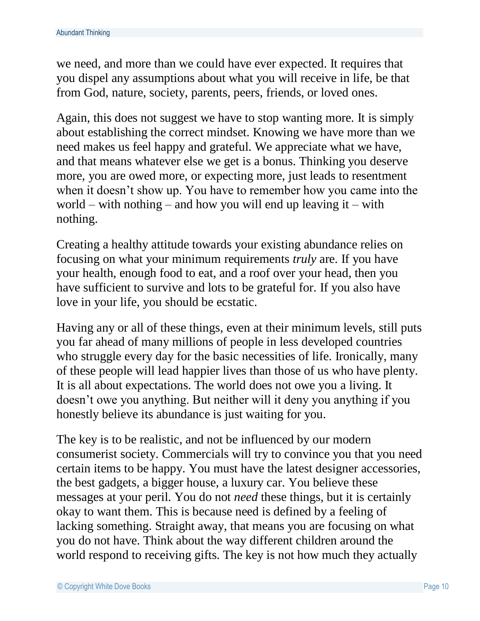we need, and more than we could have ever expected. It requires that you dispel any assumptions about what you will receive in life, be that from God, nature, society, parents, peers, friends, or loved ones.

Again, this does not suggest we have to stop wanting more. It is simply about establishing the correct mindset. Knowing we have more than we need makes us feel happy and grateful. We appreciate what we have, and that means whatever else we get is a bonus. Thinking you deserve more, you are owed more, or expecting more, just leads to resentment when it doesn't show up. You have to remember how you came into the world – with nothing – and how you will end up leaving it – with nothing.

Creating a healthy attitude towards your existing abundance relies on focusing on what your minimum requirements *truly* are. If you have your health, enough food to eat, and a roof over your head, then you have sufficient to survive and lots to be grateful for. If you also have love in your life, you should be ecstatic.

Having any or all of these things, even at their minimum levels, still puts you far ahead of many millions of people in less developed countries who struggle every day for the basic necessities of life. Ironically, many of these people will lead happier lives than those of us who have plenty. It is all about expectations. The world does not owe you a living. It doesn't owe you anything. But neither will it deny you anything if you honestly believe its abundance is just waiting for you.

The key is to be realistic, and not be influenced by our modern consumerist society. Commercials will try to convince you that you need certain items to be happy. You must have the latest designer accessories, the best gadgets, a bigger house, a luxury car. You believe these messages at your peril. You do not *need* these things, but it is certainly okay to want them. This is because need is defined by a feeling of lacking something. Straight away, that means you are focusing on what you do not have. Think about the way different children around the world respond to receiving gifts. The key is not how much they actually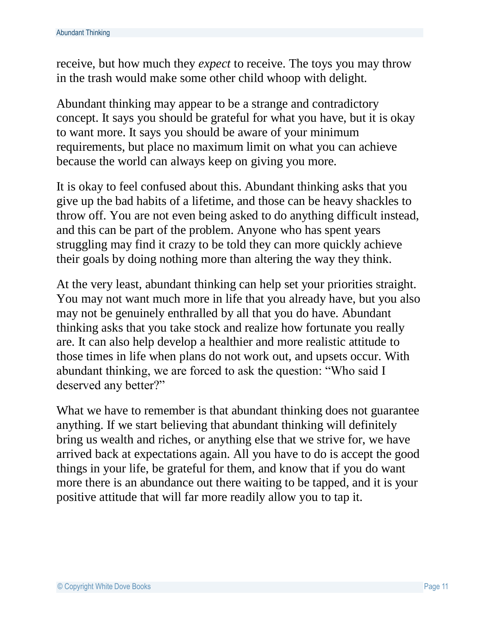receive, but how much they *expect* to receive. The toys you may throw in the trash would make some other child whoop with delight.

Abundant thinking may appear to be a strange and contradictory concept. It says you should be grateful for what you have, but it is okay to want more. It says you should be aware of your minimum requirements, but place no maximum limit on what you can achieve because the world can always keep on giving you more.

It is okay to feel confused about this. Abundant thinking asks that you give up the bad habits of a lifetime, and those can be heavy shackles to throw off. You are not even being asked to do anything difficult instead, and this can be part of the problem. Anyone who has spent years struggling may find it crazy to be told they can more quickly achieve their goals by doing nothing more than altering the way they think.

At the very least, abundant thinking can help set your priorities straight. You may not want much more in life that you already have, but you also may not be genuinely enthralled by all that you do have. Abundant thinking asks that you take stock and realize how fortunate you really are. It can also help develop a healthier and more realistic attitude to those times in life when plans do not work out, and upsets occur. With abundant thinking, we are forced to ask the question: "Who said I deserved any better?"

What we have to remember is that abundant thinking does not guarantee anything. If we start believing that abundant thinking will definitely bring us wealth and riches, or anything else that we strive for, we have arrived back at expectations again. All you have to do is accept the good things in your life, be grateful for them, and know that if you do want more there is an abundance out there waiting to be tapped, and it is your positive attitude that will far more readily allow you to tap it.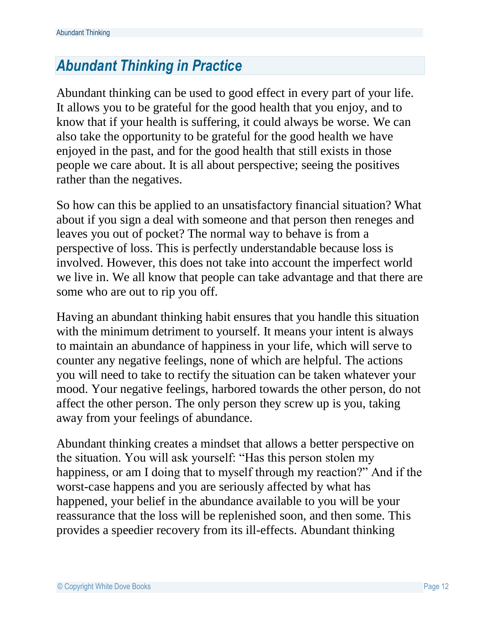## *Abundant Thinking in Practice*

Abundant thinking can be used to good effect in every part of your life. It allows you to be grateful for the good health that you enjoy, and to know that if your health is suffering, it could always be worse. We can also take the opportunity to be grateful for the good health we have enjoyed in the past, and for the good health that still exists in those people we care about. It is all about perspective; seeing the positives rather than the negatives.

So how can this be applied to an unsatisfactory financial situation? What about if you sign a deal with someone and that person then reneges and leaves you out of pocket? The normal way to behave is from a perspective of loss. This is perfectly understandable because loss is involved. However, this does not take into account the imperfect world we live in. We all know that people can take advantage and that there are some who are out to rip you off.

Having an abundant thinking habit ensures that you handle this situation with the minimum detriment to yourself. It means your intent is always to maintain an abundance of happiness in your life, which will serve to counter any negative feelings, none of which are helpful. The actions you will need to take to rectify the situation can be taken whatever your mood. Your negative feelings, harbored towards the other person, do not affect the other person. The only person they screw up is you, taking away from your feelings of abundance.

Abundant thinking creates a mindset that allows a better perspective on the situation. You will ask yourself: "Has this person stolen my happiness, or am I doing that to myself through my reaction?" And if the worst-case happens and you are seriously affected by what has happened, your belief in the abundance available to you will be your reassurance that the loss will be replenished soon, and then some. This provides a speedier recovery from its ill-effects. Abundant thinking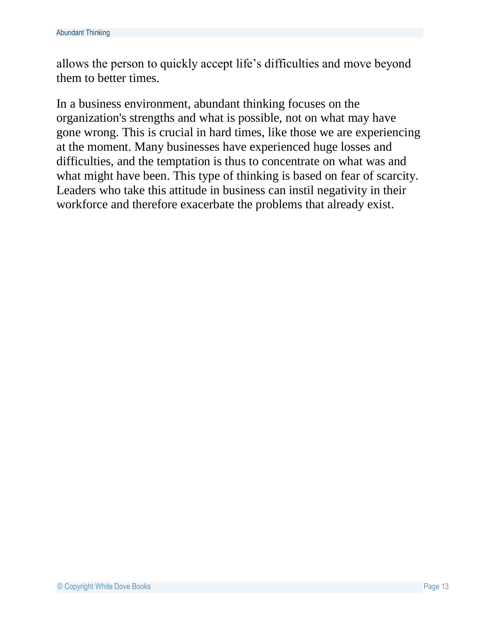allows the person to quickly accept life's difficulties and move beyond them to better times.

<span id="page-12-0"></span>In a business environment, abundant thinking focuses on the organization's strengths and what is possible, not on what may have gone wrong. This is crucial in hard times, like those we are experiencing at the moment. Many businesses have experienced huge losses and difficulties, and the temptation is thus to concentrate on what was and what might have been. This type of thinking is based on fear of scarcity. Leaders who take this attitude in business can instil negativity in their workforce and therefore exacerbate the problems that already exist.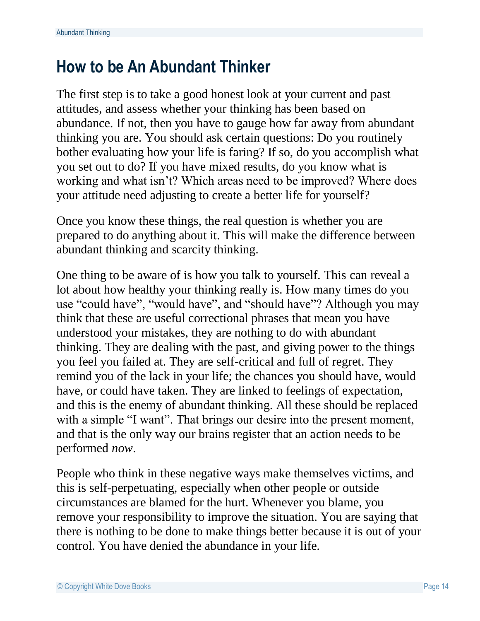## **How to be An Abundant Thinker**

The first step is to take a good honest look at your current and past attitudes, and assess whether your thinking has been based on abundance. If not, then you have to gauge how far away from abundant thinking you are. You should ask certain questions: Do you routinely bother evaluating how your life is faring? If so, do you accomplish what you set out to do? If you have mixed results, do you know what is working and what isn't? Which areas need to be improved? Where does your attitude need adjusting to create a better life for yourself?

Once you know these things, the real question is whether you are prepared to do anything about it. This will make the difference between abundant thinking and scarcity thinking.

One thing to be aware of is how you talk to yourself. This can reveal a lot about how healthy your thinking really is. How many times do you use "could have", "would have", and "should have"? Although you may think that these are useful correctional phrases that mean you have understood your mistakes, they are nothing to do with abundant thinking. They are dealing with the past, and giving power to the things you feel you failed at. They are self-critical and full of regret. They remind you of the lack in your life; the chances you should have, would have, or could have taken. They are linked to feelings of expectation, and this is the enemy of abundant thinking. All these should be replaced with a simple "I want". That brings our desire into the present moment, and that is the only way our brains register that an action needs to be performed *now*.

People who think in these negative ways make themselves victims, and this is self-perpetuating, especially when other people or outside circumstances are blamed for the hurt. Whenever you blame, you remove your responsibility to improve the situation. You are saying that there is nothing to be done to make things better because it is out of your control. You have denied the abundance in your life.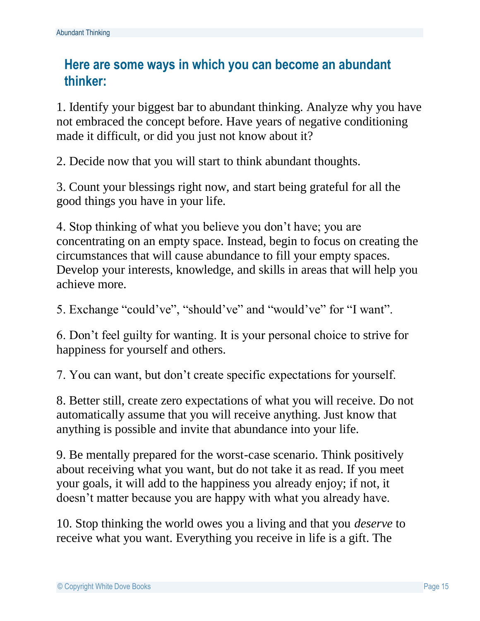#### **Here are some ways in which you can become an abundant thinker:**

1. Identify your biggest bar to abundant thinking. Analyze why you have not embraced the concept before. Have years of negative conditioning made it difficult, or did you just not know about it?

2. Decide now that you will start to think abundant thoughts.

3. Count your blessings right now, and start being grateful for all the good things you have in your life.

4. Stop thinking of what you believe you don't have; you are concentrating on an empty space. Instead, begin to focus on creating the circumstances that will cause abundance to fill your empty spaces. Develop your interests, knowledge, and skills in areas that will help you achieve more.

5. Exchange "could've", "should've" and "would've" for "I want".

6. Don't feel guilty for wanting. It is your personal choice to strive for happiness for yourself and others.

7. You can want, but don't create specific expectations for yourself.

8. Better still, create zero expectations of what you will receive. Do not automatically assume that you will receive anything. Just know that anything is possible and invite that abundance into your life.

9. Be mentally prepared for the worst-case scenario. Think positively about receiving what you want, but do not take it as read. If you meet your goals, it will add to the happiness you already enjoy; if not, it doesn't matter because you are happy with what you already have.

10. Stop thinking the world owes you a living and that you *deserve* to receive what you want. Everything you receive in life is a gift. The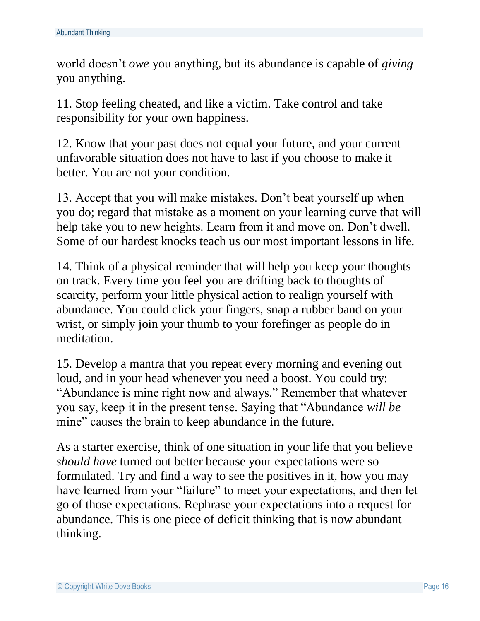world doesn't *owe* you anything, but its abundance is capable of *giving* you anything.

11. Stop feeling cheated, and like a victim. Take control and take responsibility for your own happiness.

12. Know that your past does not equal your future, and your current unfavorable situation does not have to last if you choose to make it better. You are not your condition.

13. Accept that you will make mistakes. Don't beat yourself up when you do; regard that mistake as a moment on your learning curve that will help take you to new heights. Learn from it and move on. Don't dwell. Some of our hardest knocks teach us our most important lessons in life.

14. Think of a physical reminder that will help you keep your thoughts on track. Every time you feel you are drifting back to thoughts of scarcity, perform your little physical action to realign yourself with abundance. You could click your fingers, snap a rubber band on your wrist, or simply join your thumb to your forefinger as people do in meditation.

15. Develop a mantra that you repeat every morning and evening out loud, and in your head whenever you need a boost. You could try: "Abundance is mine right now and always." Remember that whatever you say, keep it in the present tense. Saying that "Abundance *will be* mine" causes the brain to keep abundance in the future.

<span id="page-15-0"></span>As a starter exercise, think of one situation in your life that you believe *should have* turned out better because your expectations were so formulated. Try and find a way to see the positives in it, how you may have learned from your "failure" to meet your expectations, and then let go of those expectations. Rephrase your expectations into a request for abundance. This is one piece of deficit thinking that is now abundant thinking.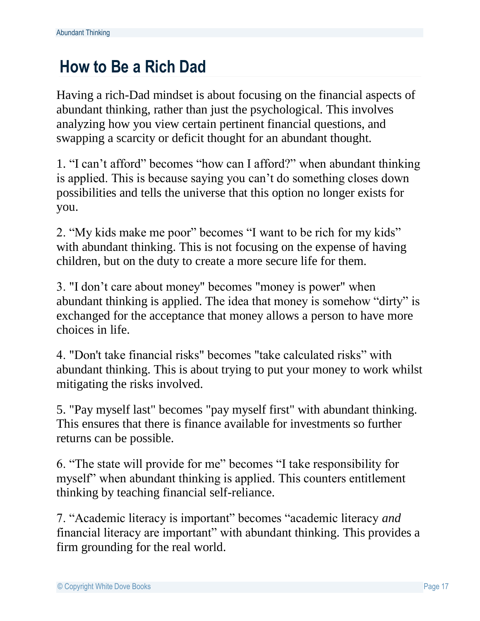## **How to Be a Rich Dad**

Having a rich-Dad mindset is about focusing on the financial aspects of abundant thinking, rather than just the psychological. This involves analyzing how you view certain pertinent financial questions, and swapping a scarcity or deficit thought for an abundant thought.

1. "I can't afford" becomes "how can I afford?" when abundant thinking is applied. This is because saying you can't do something closes down possibilities and tells the universe that this option no longer exists for you.

2. "My kids make me poor" becomes "I want to be rich for my kids" with abundant thinking. This is not focusing on the expense of having children, but on the duty to create a more secure life for them.

3. "I don't care about money" becomes "money is power" when abundant thinking is applied. The idea that money is somehow "dirty" is exchanged for the acceptance that money allows a person to have more choices in life.

4. "Don't take financial risks" becomes "take calculated risks" with abundant thinking. This is about trying to put your money to work whilst mitigating the risks involved.

5. "Pay myself last" becomes "pay myself first" with abundant thinking. This ensures that there is finance available for investments so further returns can be possible.

6. "The state will provide for me" becomes "I take responsibility for myself" when abundant thinking is applied. This counters entitlement thinking by teaching financial self-reliance.

7. "Academic literacy is important" becomes "academic literacy *and* financial literacy are important" with abundant thinking. This provides a firm grounding for the real world.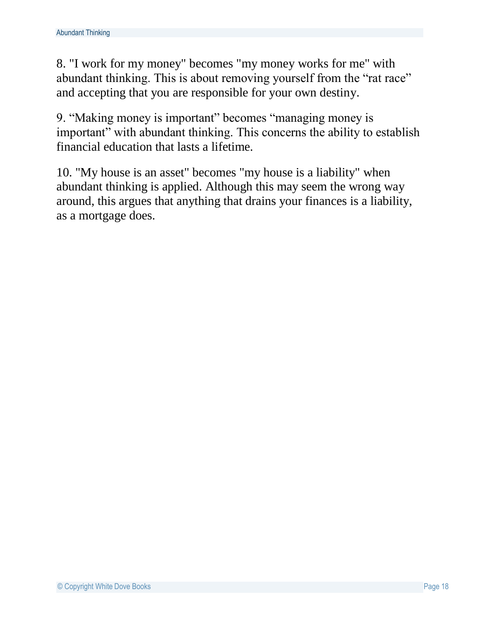8. "I work for my money" becomes "my money works for me" with abundant thinking. This is about removing yourself from the "rat race" and accepting that you are responsible for your own destiny.

9. "Making money is important" becomes "managing money is important" with abundant thinking. This concerns the ability to establish financial education that lasts a lifetime.

10. "My house is an asset" becomes "my house is a liability" when abundant thinking is applied. Although this may seem the wrong way around, this argues that anything that drains your finances is a liability, as a mortgage does.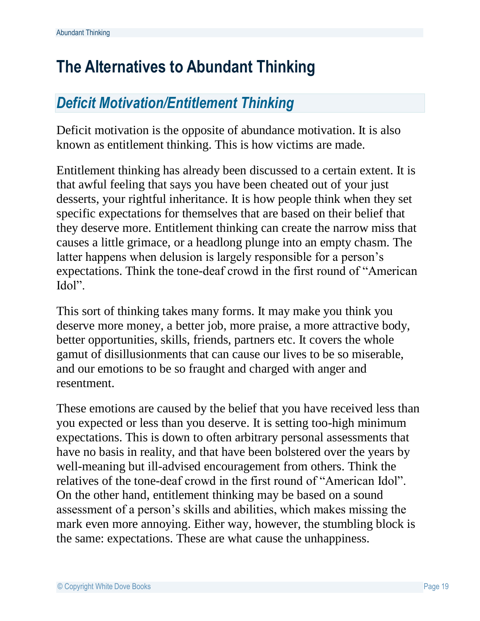## <span id="page-18-0"></span>**The Alternatives to Abundant Thinking**

## *Deficit Motivation/Entitlement Thinking*

Deficit motivation is the opposite of abundance motivation. It is also known as entitlement thinking. This is how victims are made.

Entitlement thinking has already been discussed to a certain extent. It is that awful feeling that says you have been cheated out of your just desserts, your rightful inheritance. It is how people think when they set specific expectations for themselves that are based on their belief that they deserve more. Entitlement thinking can create the narrow miss that causes a little grimace, or a headlong plunge into an empty chasm. The latter happens when delusion is largely responsible for a person's expectations. Think the tone-deaf crowd in the first round of "American Idol".

This sort of thinking takes many forms. It may make you think you deserve more money, a better job, more praise, a more attractive body, better opportunities, skills, friends, partners etc. It covers the whole gamut of disillusionments that can cause our lives to be so miserable, and our emotions to be so fraught and charged with anger and resentment.

These emotions are caused by the belief that you have received less than you expected or less than you deserve. It is setting too-high minimum expectations. This is down to often arbitrary personal assessments that have no basis in reality, and that have been bolstered over the years by well-meaning but ill-advised encouragement from others. Think the relatives of the tone-deaf crowd in the first round of "American Idol". On the other hand, entitlement thinking may be based on a sound assessment of a person's skills and abilities, which makes missing the mark even more annoying. Either way, however, the stumbling block is the same: expectations. These are what cause the unhappiness.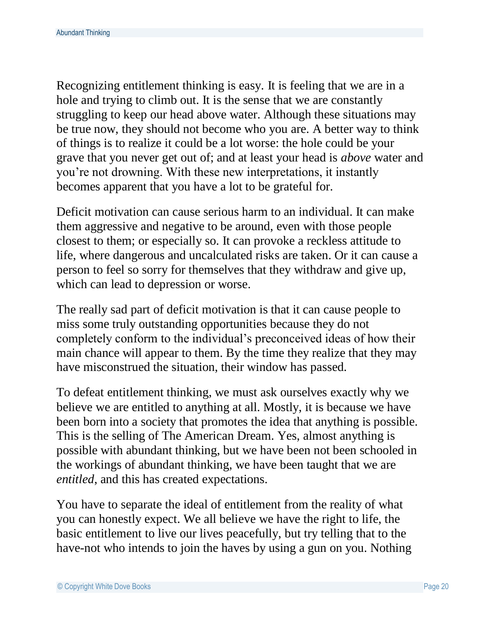Recognizing entitlement thinking is easy. It is feeling that we are in a hole and trying to climb out. It is the sense that we are constantly struggling to keep our head above water. Although these situations may be true now, they should not become who you are. A better way to think of things is to realize it could be a lot worse: the hole could be your grave that you never get out of; and at least your head is *above* water and you're not drowning. With these new interpretations, it instantly becomes apparent that you have a lot to be grateful for.

Deficit motivation can cause serious harm to an individual. It can make them aggressive and negative to be around, even with those people closest to them; or especially so. It can provoke a reckless attitude to life, where dangerous and uncalculated risks are taken. Or it can cause a person to feel so sorry for themselves that they withdraw and give up, which can lead to depression or worse.

The really sad part of deficit motivation is that it can cause people to miss some truly outstanding opportunities because they do not completely conform to the individual's preconceived ideas of how their main chance will appear to them. By the time they realize that they may have misconstrued the situation, their window has passed.

To defeat entitlement thinking, we must ask ourselves exactly why we believe we are entitled to anything at all. Mostly, it is because we have been born into a society that promotes the idea that anything is possible. This is the selling of The American Dream. Yes, almost anything is possible with abundant thinking, but we have been not been schooled in the workings of abundant thinking, we have been taught that we are *entitled*, and this has created expectations.

You have to separate the ideal of entitlement from the reality of what you can honestly expect. We all believe we have the right to life, the basic entitlement to live our lives peacefully, but try telling that to the have-not who intends to join the haves by using a gun on you. Nothing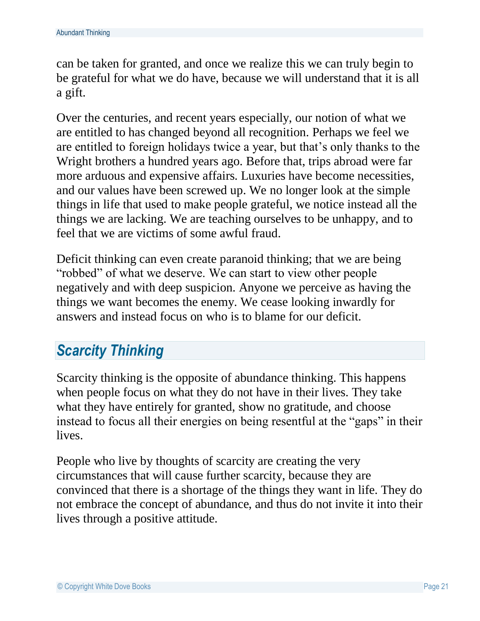can be taken for granted, and once we realize this we can truly begin to be grateful for what we do have, because we will understand that it is all a gift.

Over the centuries, and recent years especially, our notion of what we are entitled to has changed beyond all recognition. Perhaps we feel we are entitled to foreign holidays twice a year, but that's only thanks to the Wright brothers a hundred years ago. Before that, trips abroad were far more arduous and expensive affairs. Luxuries have become necessities, and our values have been screwed up. We no longer look at the simple things in life that used to make people grateful, we notice instead all the things we are lacking. We are teaching ourselves to be unhappy, and to feel that we are victims of some awful fraud.

Deficit thinking can even create paranoid thinking; that we are being "robbed" of what we deserve. We can start to view other people negatively and with deep suspicion. Anyone we perceive as having the things we want becomes the enemy. We cease looking inwardly for answers and instead focus on who is to blame for our deficit.

## *Scarcity Thinking*

Scarcity thinking is the opposite of abundance thinking. This happens when people focus on what they do not have in their lives. They take what they have entirely for granted, show no gratitude, and choose instead to focus all their energies on being resentful at the "gaps" in their lives.

People who live by thoughts of scarcity are creating the very circumstances that will cause further scarcity, because they are convinced that there is a shortage of the things they want in life. They do not embrace the concept of abundance, and thus do not invite it into their lives through a positive attitude.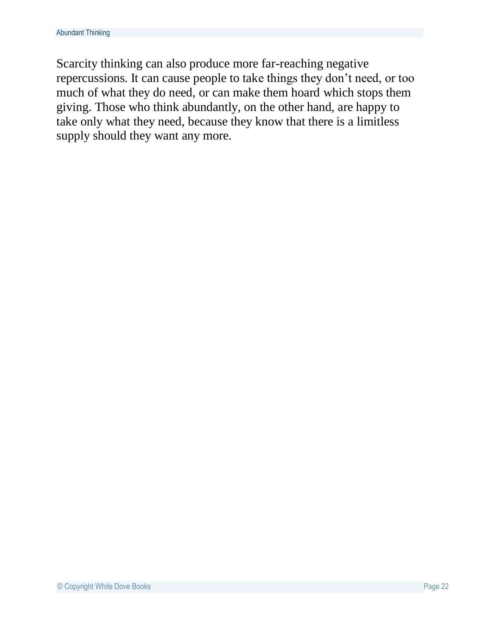<span id="page-21-0"></span>Scarcity thinking can also produce more far-reaching negative repercussions. It can cause people to take things they don't need, or too much of what they do need, or can make them hoard which stops them giving. Those who think abundantly, on the other hand, are happy to take only what they need, because they know that there is a limitless supply should they want any more.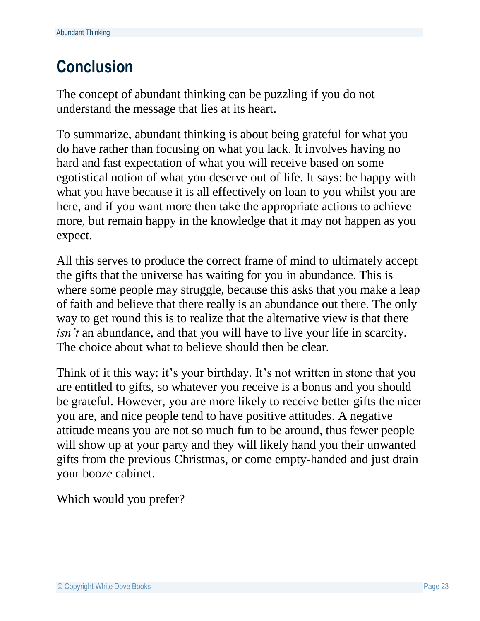# **Conclusion**

The concept of abundant thinking can be puzzling if you do not understand the message that lies at its heart.

To summarize, abundant thinking is about being grateful for what you do have rather than focusing on what you lack. It involves having no hard and fast expectation of what you will receive based on some egotistical notion of what you deserve out of life. It says: be happy with what you have because it is all effectively on loan to you whilst you are here, and if you want more then take the appropriate actions to achieve more, but remain happy in the knowledge that it may not happen as you expect.

All this serves to produce the correct frame of mind to ultimately accept the gifts that the universe has waiting for you in abundance. This is where some people may struggle, because this asks that you make a leap of faith and believe that there really is an abundance out there. The only way to get round this is to realize that the alternative view is that there *isn't* an abundance, and that you will have to live your life in scarcity. The choice about what to believe should then be clear.

Think of it this way: it's your birthday. It's not written in stone that you are entitled to gifts, so whatever you receive is a bonus and you should be grateful. However, you are more likely to receive better gifts the nicer you are, and nice people tend to have positive attitudes. A negative attitude means you are not so much fun to be around, thus fewer people will show up at your party and they will likely hand you their unwanted gifts from the previous Christmas, or come empty-handed and just drain your booze cabinet.

Which would you prefer?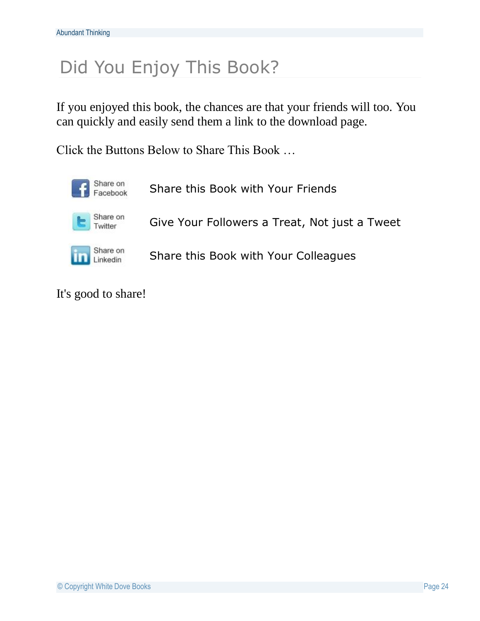# Did You Enjoy This Book?

If you enjoyed this book, the chances are that your friends will too. You can quickly and easily send them a link to the download page.

Click the Buttons Below to Share This Book …



It's good to share!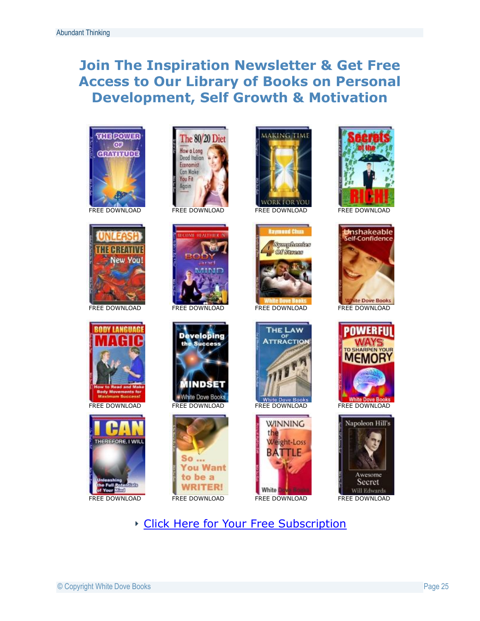#### **Join The Inspiration Newsletter & Get Free Access to Our Library of Books on Personal Development, Self Growth & Motivation**





































#### [Click Here for Your Free Subscription](http://whitedove.dovebooks.hop.clickbank.net/)